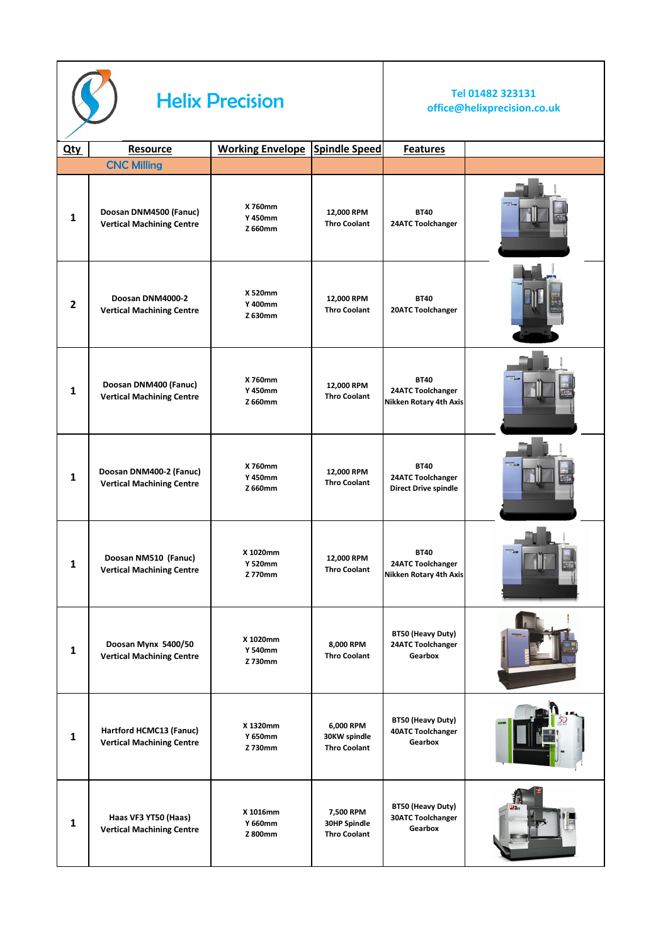

## **Helix Precision Tel 01482 323131**

## **office@helixprecision.co.uk**

| <b>Qty</b>   | Resource                                                    | <b>Working Envelope</b>               | <b>Spindle Speed</b>                                    | <b>Features</b>                                                 |  |
|--------------|-------------------------------------------------------------|---------------------------------------|---------------------------------------------------------|-----------------------------------------------------------------|--|
|              | <b>CNC Milling</b>                                          |                                       |                                                         |                                                                 |  |
| $\mathbf{1}$ | Doosan DNM4500 (Fanuc)<br><b>Vertical Machining Centre</b>  | X 760mm<br><b>Y 450mm</b><br>Z 660mm  | 12,000 RPM<br><b>Thro Coolant</b>                       | <b>BT40</b><br>24ATC Toolchanger                                |  |
| $\mathbf{2}$ | Doosan DNM4000-2<br><b>Vertical Machining Centre</b>        | X 520mm<br>Y 400mm<br>Z 630mm         | 12,000 RPM<br><b>Thro Coolant</b>                       | <b>BT40</b><br>20ATC Toolchanger                                |  |
| $\mathbf{1}$ | Doosan DNM400 (Fanuc)<br><b>Vertical Machining Centre</b>   | X 760mm<br>Y 450mm<br>Z 660mm         | 12,000 RPM<br><b>Thro Coolant</b>                       | <b>BT40</b><br>24ATC Toolchanger<br>Nikken Rotary 4th Axis      |  |
| $\mathbf{1}$ | Doosan DNM400-2 (Fanuc)<br><b>Vertical Machining Centre</b> | X 760mm<br>Y 450mm<br>Z 660mm         | 12,000 RPM<br><b>Thro Coolant</b>                       | <b>BT40</b><br>24ATC Toolchanger<br><b>Direct Drive spindle</b> |  |
| 1            | Doosan NM510 (Fanuc)<br><b>Vertical Machining Centre</b>    | X 1020mm<br><b>Y 520mm</b><br>Z 770mm | 12,000 RPM<br><b>Thro Coolant</b>                       | <b>BT40</b><br>24ATC Toolchanger<br>Nikken Rotary 4th Axis      |  |
| $\mathbf{1}$ | Doosan Mynx 5400/50<br><b>Vertical Machining Centre</b>     | X 1020mm<br><b>Y 540mm</b><br>Z 730mm | 8,000 RPM<br><b>Thro Coolant</b>                        | BT50 (Heavy Duty)<br>24ATC Toolchanger<br>Gearbox               |  |
| $\mathbf 1$  | Hartford HCMC13 (Fanuc)<br><b>Vertical Machining Centre</b> | X 1320mm<br>Y 650mm<br>Z 730mm        | 6,000 RPM<br>30KW spindle<br><b>Thro Coolant</b>        | BT50 (Heavy Duty)<br><b>40ATC Toolchanger</b><br>Gearbox        |  |
| $\mathbf 1$  | Haas VF3 YT50 (Haas)<br><b>Vertical Machining Centre</b>    | X 1016mm<br>Y 660mm<br>Z 800mm        | 7,500 RPM<br><b>30HP Spindle</b><br><b>Thro Coolant</b> | BT50 (Heavy Duty)<br><b>30ATC Toolchanger</b><br>Gearbox        |  |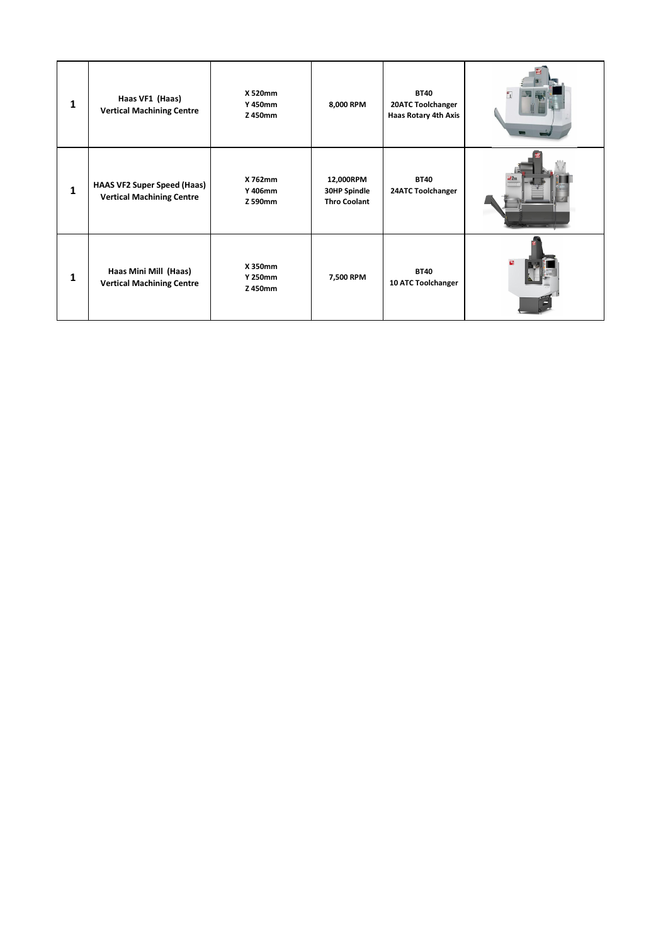| $\mathbf{1}$ | Haas VF1 (Haas)<br><b>Vertical Machining Centre</b>                    | X 520mm<br><b>Y 450mm</b><br>Z 450mm | 8,000 RPM                                               | <b>BT40</b><br>20ATC Toolchanger<br>Haas Rotary 4th Axis |  |
|--------------|------------------------------------------------------------------------|--------------------------------------|---------------------------------------------------------|----------------------------------------------------------|--|
| $\mathbf{1}$ | <b>HAAS VF2 Super Speed (Haas)</b><br><b>Vertical Machining Centre</b> | X 762mm<br>Y 406mm<br>Z 590mm        | 12,000RPM<br><b>30HP Spindle</b><br><b>Thro Coolant</b> | <b>BT40</b><br>24ATC Toolchanger                         |  |
| 1            | Haas Mini Mill (Haas)<br><b>Vertical Machining Centre</b>              | X 350mm<br>Y 250mm<br>Z 450mm        | 7,500 RPM                                               | <b>BT40</b><br>10 ATC Toolchanger                        |  |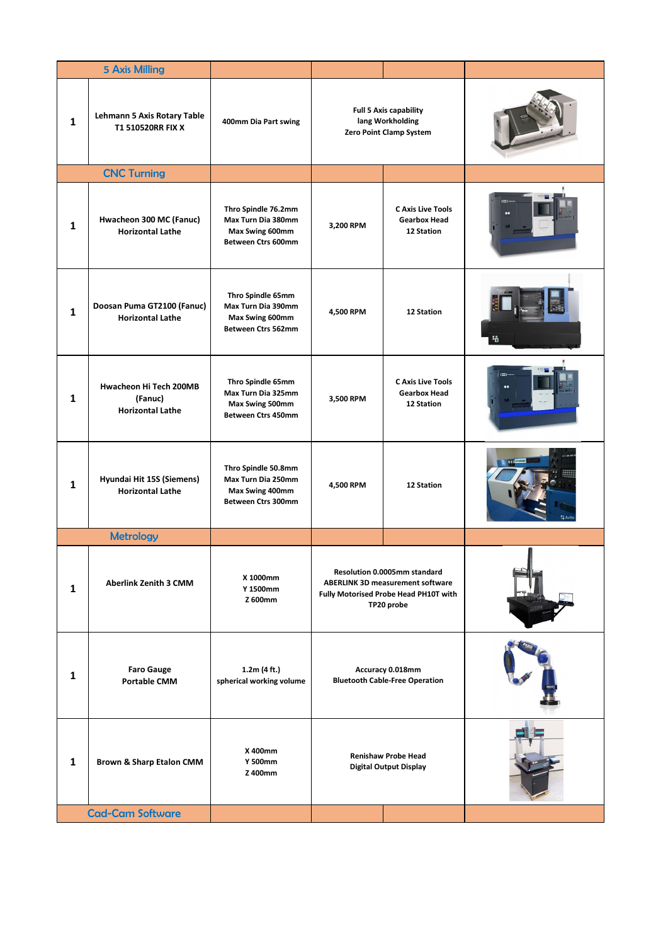|              | <b>5 Axis Milling</b>                                        |                                                                                           |                                                                                                                                |                                                               |  |
|--------------|--------------------------------------------------------------|-------------------------------------------------------------------------------------------|--------------------------------------------------------------------------------------------------------------------------------|---------------------------------------------------------------|--|
| $\mathbf{1}$ | Lehmann 5 Axis Rotary Table<br>T1 510520RR FIX X             | 400mm Dia Part swing                                                                      | <b>Full 5 Axis capability</b><br>lang Workholding<br>Zero Point Clamp System                                                   |                                                               |  |
|              | <b>CNC Turning</b>                                           |                                                                                           |                                                                                                                                |                                                               |  |
| $\mathbf{1}$ | Hwacheon 300 MC (Fanuc)<br><b>Horizontal Lathe</b>           | Thro Spindle 76.2mm<br>Max Turn Dia 380mm<br>Max Swing 600mm<br>Between Ctrs 600mm        | 3,200 RPM                                                                                                                      | <b>C Axis Live Tools</b><br><b>Gearbox Head</b><br>12 Station |  |
| $\mathbf{1}$ | Doosan Puma GT2100 (Fanuc)<br><b>Horizontal Lathe</b>        | Thro Spindle 65mm<br>Max Turn Dia 390mm<br>Max Swing 600mm<br>Between Ctrs 562mm          | 4,500 RPM                                                                                                                      | 12 Station                                                    |  |
| $\mathbf{1}$ | Hwacheon Hi Tech 200MB<br>(Fanuc)<br><b>Horizontal Lathe</b> | Thro Spindle 65mm<br>Max Turn Dia 325mm<br>Max Swing 500mm<br><b>Between Ctrs 450mm</b>   | 3,500 RPM                                                                                                                      | <b>C Axis Live Tools</b><br><b>Gearbox Head</b><br>12 Station |  |
| $\mathbf{1}$ | Hyundai Hit 15S (Siemens)<br><b>Horizontal Lathe</b>         | Thro Spindle 50.8mm<br>Max Turn Dia 250mm<br>Max Swing 400mm<br><b>Between Ctrs 300mm</b> | 4,500 RPM                                                                                                                      | 12 Station                                                    |  |
|              | <b>Metrology</b>                                             |                                                                                           |                                                                                                                                |                                                               |  |
| $\mathbf{1}$ | <b>Aberlink Zenith 3 CMM</b>                                 | X 1000mm<br>Y 1500mm<br>Z 600mm                                                           | Resolution 0.0005mm standard<br><b>ABERLINK 3D measurement software</b><br>Fully Motorised Probe Head PH10T with<br>TP20 probe |                                                               |  |
| 1            | <b>Faro Gauge</b><br><b>Portable CMM</b>                     | 1.2m (4 ft.)<br>spherical working volume                                                  | Accuracy 0.018mm<br><b>Bluetooth Cable-Free Operation</b>                                                                      |                                                               |  |
| $\mathbf{1}$ | <b>Brown &amp; Sharp Etalon CMM</b>                          | X 400mm<br><b>Y 500mm</b><br>Z 400mm                                                      | <b>Renishaw Probe Head</b><br><b>Digital Output Display</b>                                                                    |                                                               |  |
|              | <b>Cad-Cam Software</b>                                      |                                                                                           |                                                                                                                                |                                                               |  |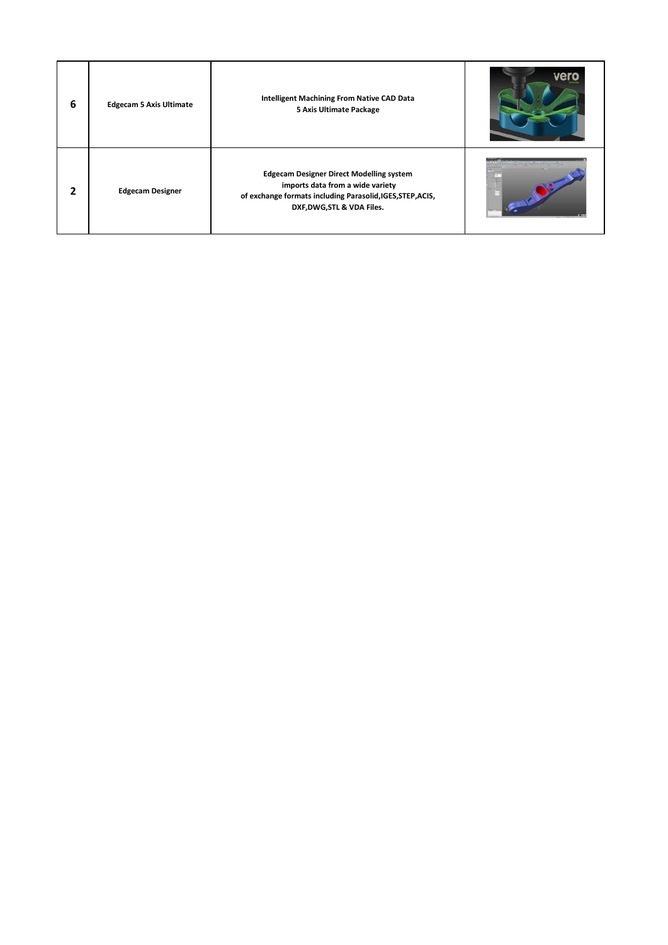| 6 | <b>Edgecam 5 Axis Ultimate</b> | <b>Intelligent Machining From Native CAD Data</b><br>5 Axis Ultimate Package                                                                                                    |                      |
|---|--------------------------------|---------------------------------------------------------------------------------------------------------------------------------------------------------------------------------|----------------------|
|   | <b>Edgecam Designer</b>        | <b>Edgecam Designer Direct Modelling system</b><br>imports data from a wide variety<br>of exchange formats including Parasolid, IGES, STEP, ACIS,<br>DXF, DWG, STL & VDA Files. | <b>CONSTRUCTIONS</b> |